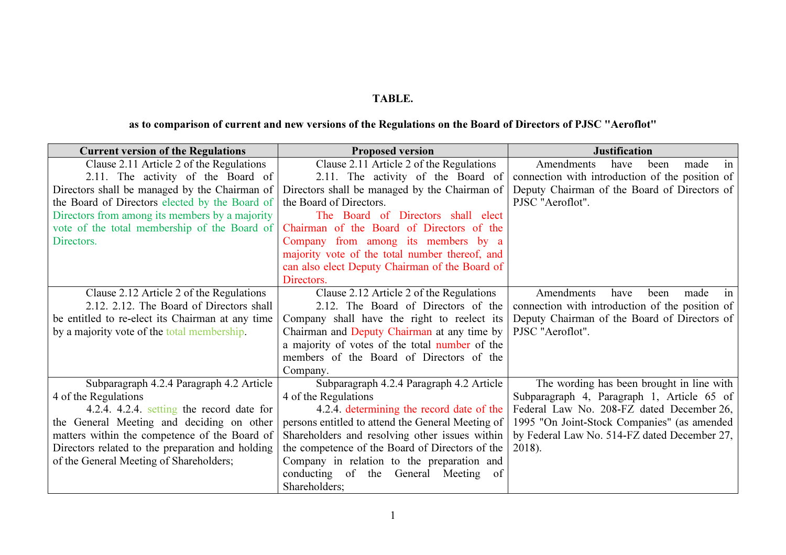## TABLE.

## as to comparison of current and new versions of the Regulations on the Board of Directors of PJSC "Aeroflot"

| <b>Current version of the Regulations</b>        | <b>Proposed version</b>                           | <b>Justification</b>                            |
|--------------------------------------------------|---------------------------------------------------|-------------------------------------------------|
| Clause 2.11 Article 2 of the Regulations         | Clause 2.11 Article 2 of the Regulations          | Amendments<br>have<br>been<br>made<br>in        |
| 2.11. The activity of the Board of               | 2.11. The activity of the Board of                | connection with introduction of the position of |
| Directors shall be managed by the Chairman of    | Directors shall be managed by the Chairman of     | Deputy Chairman of the Board of Directors of    |
| the Board of Directors elected by the Board of   | the Board of Directors.                           | PJSC "Aeroflot".                                |
| Directors from among its members by a majority   | The Board of Directors shall elect                |                                                 |
| vote of the total membership of the Board of     | Chairman of the Board of Directors of the         |                                                 |
| Directors.                                       | Company from among its members by a               |                                                 |
|                                                  | majority vote of the total number thereof, and    |                                                 |
|                                                  | can also elect Deputy Chairman of the Board of    |                                                 |
|                                                  | Directors.                                        |                                                 |
| Clause 2.12 Article 2 of the Regulations         | Clause 2.12 Article 2 of the Regulations          | Amendments<br>have<br>been<br>made<br>in        |
| 2.12. 2.12. The Board of Directors shall         | 2.12. The Board of Directors of the               | connection with introduction of the position of |
| be entitled to re-elect its Chairman at any time | Company shall have the right to reelect its       | Deputy Chairman of the Board of Directors of    |
| by a majority vote of the total membership.      | Chairman and Deputy Chairman at any time by       | PJSC "Aeroflot".                                |
|                                                  | a majority of votes of the total number of the    |                                                 |
|                                                  | members of the Board of Directors of the          |                                                 |
|                                                  | Company.                                          |                                                 |
| Subparagraph 4.2.4 Paragraph 4.2 Article         | Subparagraph 4.2.4 Paragraph 4.2 Article          | The wording has been brought in line with       |
| 4 of the Regulations                             | 4 of the Regulations                              | Subparagraph 4, Paragraph 1, Article 65 of      |
| 4.2.4. 4.2.4. setting the record date for        | 4.2.4. determining the record date of the         | Federal Law No. 208-FZ dated December 26,       |
| the General Meeting and deciding on other        | persons entitled to attend the General Meeting of | 1995 "On Joint-Stock Companies" (as amended     |
| matters within the competence of the Board of    | Shareholders and resolving other issues within    | by Federal Law No. 514-FZ dated December 27,    |
| Directors related to the preparation and holding | the competence of the Board of Directors of the   | 2018).                                          |
| of the General Meeting of Shareholders;          | Company in relation to the preparation and        |                                                 |
|                                                  | conducting of the General Meeting<br>of           |                                                 |
|                                                  | Shareholders;                                     |                                                 |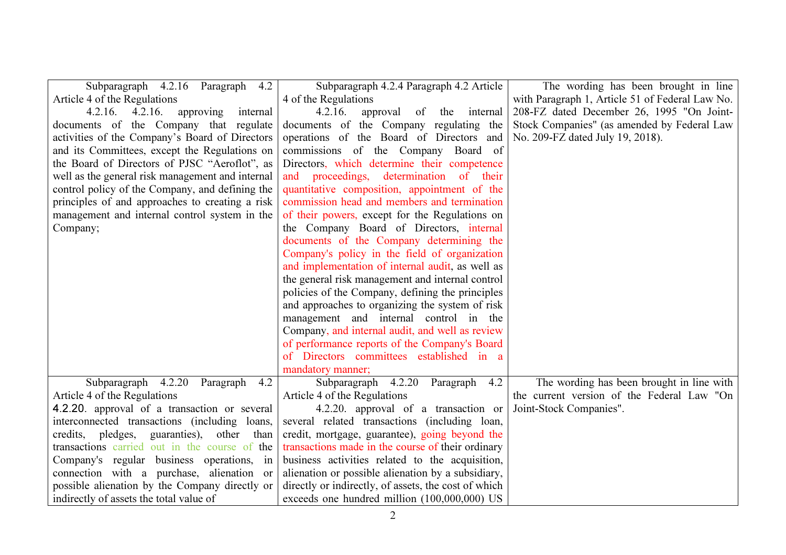| Subparagraph 4.2.16 Paragraph 4.2                | Subparagraph 4.2.4 Paragraph 4.2 Article             | The wording has been brought in line            |
|--------------------------------------------------|------------------------------------------------------|-------------------------------------------------|
| Article 4 of the Regulations                     | 4 of the Regulations                                 | with Paragraph 1, Article 51 of Federal Law No. |
| $4.2.16.$ $4.2.16.$<br>approving<br>internal     | 4.2.16.<br>approval of the internal                  | 208-FZ dated December 26, 1995 "On Joint-       |
| documents of the Company that regulate           | documents of the Company regulating the              | Stock Companies" (as amended by Federal Law     |
| activities of the Company's Board of Directors   | operations of the Board of Directors and             | No. 209-FZ dated July 19, 2018).                |
| and its Committees, except the Regulations on    | commissions of the Company Board of                  |                                                 |
| the Board of Directors of PJSC "Aeroflot", as    | Directors, which determine their competence          |                                                 |
| well as the general risk management and internal | and proceedings, determination of their              |                                                 |
| control policy of the Company, and defining the  | quantitative composition, appointment of the         |                                                 |
| principles of and approaches to creating a risk  | commission head and members and termination          |                                                 |
| management and internal control system in the    | of their powers, except for the Regulations on       |                                                 |
| Company;                                         | the Company Board of Directors, internal             |                                                 |
|                                                  | documents of the Company determining the             |                                                 |
|                                                  | Company's policy in the field of organization        |                                                 |
|                                                  | and implementation of internal audit, as well as     |                                                 |
|                                                  | the general risk management and internal control     |                                                 |
|                                                  | policies of the Company, defining the principles     |                                                 |
|                                                  | and approaches to organizing the system of risk      |                                                 |
|                                                  | management and internal control in the               |                                                 |
|                                                  | Company, and internal audit, and well as review      |                                                 |
|                                                  | of performance reports of the Company's Board        |                                                 |
|                                                  | of Directors committees established in a             |                                                 |
|                                                  | mandatory manner;                                    |                                                 |
| Subparagraph 4.2.20<br>Paragraph<br>4.2          | Subparagraph 4.2.20 Paragraph<br>4.2                 | The wording has been brought in line with       |
| Article 4 of the Regulations                     | Article 4 of the Regulations                         | the current version of the Federal Law "On      |
| 4.2.20. approval of a transaction or several     | 4.2.20. approval of a transaction or                 | Joint-Stock Companies".                         |
| interconnected transactions (including loans,    | several related transactions (including loan,        |                                                 |
| credits, pledges, guaranties), other<br>than     | credit, mortgage, guarantee), going beyond the       |                                                 |
| transactions carried out in the course of the    | transactions made in the course of their ordinary    |                                                 |
| Company's regular business operations, in        | business activities related to the acquisition,      |                                                 |
| connection with a purchase, alienation or        | alienation or possible alienation by a subsidiary,   |                                                 |
| possible alienation by the Company directly or   | directly or indirectly, of assets, the cost of which |                                                 |
| indirectly of assets the total value of          | exceeds one hundred million (100,000,000) US         |                                                 |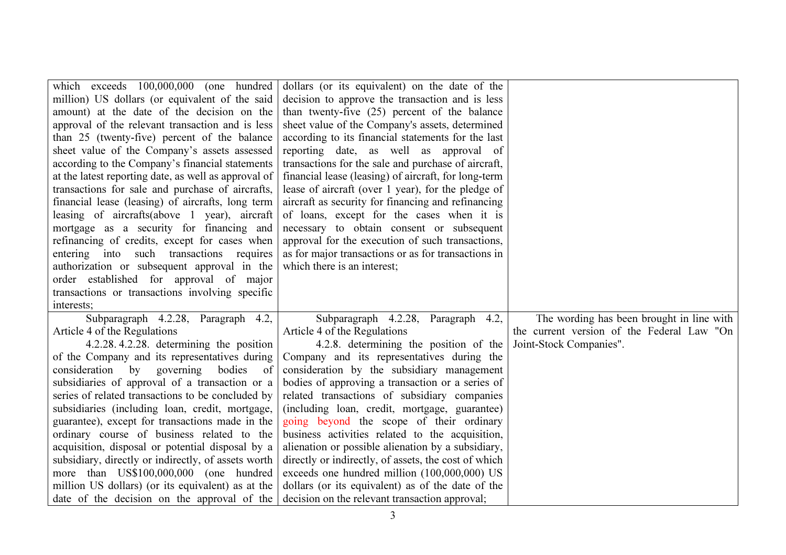| which exceeds 100,000,000 (one hundred               | dollars (or its equivalent) on the date of the       |                                            |
|------------------------------------------------------|------------------------------------------------------|--------------------------------------------|
| million) US dollars (or equivalent of the said       | decision to approve the transaction and is less      |                                            |
| amount) at the date of the decision on the           | than twenty-five (25) percent of the balance         |                                            |
| approval of the relevant transaction and is less     | sheet value of the Company's assets, determined      |                                            |
| than 25 (twenty-five) percent of the balance         | according to its financial statements for the last   |                                            |
| sheet value of the Company's assets assessed         | reporting date, as well as approval of               |                                            |
| according to the Company's financial statements      | transactions for the sale and purchase of aircraft,  |                                            |
| at the latest reporting date, as well as approval of | financial lease (leasing) of aircraft, for long-term |                                            |
| transactions for sale and purchase of aircrafts,     | lease of aircraft (over 1 year), for the pledge of   |                                            |
| financial lease (leasing) of aircrafts, long term    | aircraft as security for financing and refinancing   |                                            |
| leasing of aircrafts(above 1 year), aircraft         | of loans, except for the cases when it is            |                                            |
| mortgage as a security for financing and             | necessary to obtain consent or subsequent            |                                            |
| refinancing of credits, except for cases when        | approval for the execution of such transactions,     |                                            |
| entering into such transactions requires             | as for major transactions or as for transactions in  |                                            |
| authorization or subsequent approval in the          | which there is an interest;                          |                                            |
| order established for approval of major              |                                                      |                                            |
| transactions or transactions involving specific      |                                                      |                                            |
| interests;                                           |                                                      |                                            |
| Subparagraph 4.2.28, Paragraph 4.2,                  | Subparagraph 4.2.28, Paragraph 4.2,                  | The wording has been brought in line with  |
| Article 4 of the Regulations                         | Article 4 of the Regulations                         | the current version of the Federal Law "On |
| 4.2.28.4.2.28. determining the position              | 4.2.8. determining the position of the               | Joint-Stock Companies".                    |
| of the Company and its representatives during        | Company and its representatives during the           |                                            |
| consideration<br>by<br>governing<br>bodies<br>of     | consideration by the subsidiary management           |                                            |
| subsidiaries of approval of a transaction or a       | bodies of approving a transaction or a series of     |                                            |
| series of related transactions to be concluded by    | related transactions of subsidiary companies         |                                            |
| subsidiaries (including loan, credit, mortgage,      | (including loan, credit, mortgage, guarantee)        |                                            |
| guarantee), except for transactions made in the      | going beyond the scope of their ordinary             |                                            |
| ordinary course of business related to the           | business activities related to the acquisition,      |                                            |
| acquisition, disposal or potential disposal by a     | alienation or possible alienation by a subsidiary,   |                                            |
| subsidiary, directly or indirectly, of assets worth  | directly or indirectly, of assets, the cost of which |                                            |
| more than US\$100,000,000 (one hundred               | exceeds one hundred million (100,000,000) US         |                                            |
| million US dollars) (or its equivalent) as at the    | dollars (or its equivalent) as of the date of the    |                                            |
| date of the decision on the approval of the          | decision on the relevant transaction approval;       |                                            |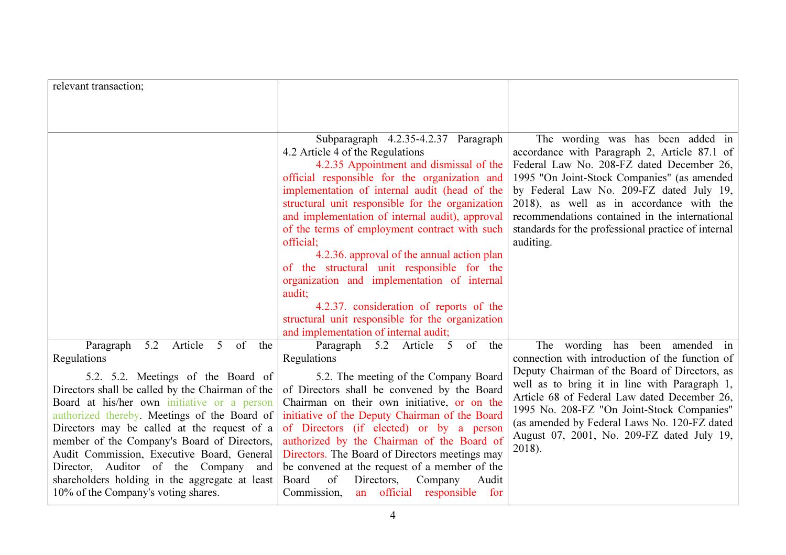| relevant transaction;                                                                                                                                                                                                                                                                                                                                                                                                                                              |                                                                                                                                                                                                                                                                                                                                                                                                                                                                                                                                                                                                                                                                                         |                                                                                                                                                                                                                                                                                                                                                                                             |
|--------------------------------------------------------------------------------------------------------------------------------------------------------------------------------------------------------------------------------------------------------------------------------------------------------------------------------------------------------------------------------------------------------------------------------------------------------------------|-----------------------------------------------------------------------------------------------------------------------------------------------------------------------------------------------------------------------------------------------------------------------------------------------------------------------------------------------------------------------------------------------------------------------------------------------------------------------------------------------------------------------------------------------------------------------------------------------------------------------------------------------------------------------------------------|---------------------------------------------------------------------------------------------------------------------------------------------------------------------------------------------------------------------------------------------------------------------------------------------------------------------------------------------------------------------------------------------|
|                                                                                                                                                                                                                                                                                                                                                                                                                                                                    |                                                                                                                                                                                                                                                                                                                                                                                                                                                                                                                                                                                                                                                                                         |                                                                                                                                                                                                                                                                                                                                                                                             |
|                                                                                                                                                                                                                                                                                                                                                                                                                                                                    |                                                                                                                                                                                                                                                                                                                                                                                                                                                                                                                                                                                                                                                                                         |                                                                                                                                                                                                                                                                                                                                                                                             |
|                                                                                                                                                                                                                                                                                                                                                                                                                                                                    | Subparagraph 4.2.35-4.2.37 Paragraph<br>4.2 Article 4 of the Regulations<br>4.2.35 Appointment and dismissal of the<br>official responsible for the organization and<br>implementation of internal audit (head of the<br>structural unit responsible for the organization<br>and implementation of internal audit), approval<br>of the terms of employment contract with such<br>official:<br>4.2.36. approval of the annual action plan<br>of the structural unit responsible for the<br>organization and implementation of internal<br>audit;<br>4.2.37. consideration of reports of the<br>structural unit responsible for the organization<br>and implementation of internal audit; | The wording was has been added in<br>accordance with Paragraph 2, Article 87.1 of<br>Federal Law No. 208-FZ dated December 26,<br>1995 "On Joint-Stock Companies" (as amended<br>by Federal Law No. 209-FZ dated July 19,<br>2018), as well as in accordance with the<br>recommendations contained in the international<br>standards for the professional practice of internal<br>auditing. |
| Article<br>Paragraph<br>5.2<br>5 <sup>5</sup><br>of<br>the<br>Regulations                                                                                                                                                                                                                                                                                                                                                                                          | of the<br>Paragraph 5.2<br>Article<br>$5\overline{)}$<br>Regulations                                                                                                                                                                                                                                                                                                                                                                                                                                                                                                                                                                                                                    | The wording has been amended in<br>connection with introduction of the function of                                                                                                                                                                                                                                                                                                          |
| 5.2. 5.2. Meetings of the Board of<br>Directors shall be called by the Chairman of the<br>Board at his/her own initiative or a person<br>authorized thereby. Meetings of the Board of<br>Directors may be called at the request of a<br>member of the Company's Board of Directors,<br>Audit Commission, Executive Board, General<br>Director, Auditor of the Company and<br>shareholders holding in the aggregate at least<br>10% of the Company's voting shares. | 5.2. The meeting of the Company Board<br>of Directors shall be convened by the Board<br>Chairman on their own initiative, or on the<br>initiative of the Deputy Chairman of the Board<br>of Directors (if elected) or by a person<br>authorized by the Chairman of the Board of<br>Directors. The Board of Directors meetings may<br>be convened at the request of a member of the<br>Board<br>of<br>Directors,<br>Company<br>Audit<br>Commission,<br>an official responsible<br>for                                                                                                                                                                                                    | Deputy Chairman of the Board of Directors, as<br>well as to bring it in line with Paragraph 1,<br>Article 68 of Federal Law dated December 26,<br>1995 No. 208-FZ "On Joint-Stock Companies"<br>(as amended by Federal Laws No. 120-FZ dated<br>August 07, 2001, No. 209-FZ dated July 19,<br>2018).                                                                                        |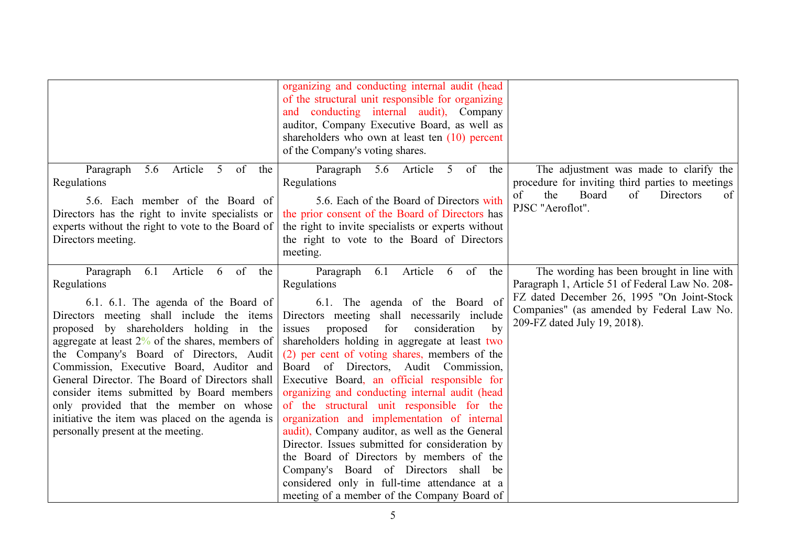|                                                                                                                                                                                                                                                                                                                                                                                                                                                                                                                                                                          | organizing and conducting internal audit (head<br>of the structural unit responsible for organizing<br>and conducting internal audit), Company<br>auditor, Company Executive Board, as well as<br>shareholders who own at least ten (10) percent<br>of the Company's voting shares.                                                                                                                                                                                                                                                                                                                                                                                                                                                                                                                                                  |                                                                                                                                                                                                                         |
|--------------------------------------------------------------------------------------------------------------------------------------------------------------------------------------------------------------------------------------------------------------------------------------------------------------------------------------------------------------------------------------------------------------------------------------------------------------------------------------------------------------------------------------------------------------------------|--------------------------------------------------------------------------------------------------------------------------------------------------------------------------------------------------------------------------------------------------------------------------------------------------------------------------------------------------------------------------------------------------------------------------------------------------------------------------------------------------------------------------------------------------------------------------------------------------------------------------------------------------------------------------------------------------------------------------------------------------------------------------------------------------------------------------------------|-------------------------------------------------------------------------------------------------------------------------------------------------------------------------------------------------------------------------|
| Article<br>5 <sup>5</sup><br>of<br>Paragraph<br>5.6<br>the<br>Regulations<br>5.6. Each member of the Board of<br>Directors has the right to invite specialists or<br>experts without the right to vote to the Board of<br>Directors meeting.                                                                                                                                                                                                                                                                                                                             | Paragraph<br>5 of the<br>5.6<br>Article<br>Regulations<br>5.6. Each of the Board of Directors with<br>the prior consent of the Board of Directors has<br>the right to invite specialists or experts without<br>the right to vote to the Board of Directors<br>meeting.                                                                                                                                                                                                                                                                                                                                                                                                                                                                                                                                                               | The adjustment was made to clarify the<br>procedure for inviting third parties to meetings<br>Board<br>of<br>of<br>the<br>Directors<br>of<br>PJSC "Aeroflot".                                                           |
| Paragraph<br>Article<br>6.1<br>6 of<br>the<br>Regulations<br>6.1. 6.1. The agenda of the Board of<br>Directors meeting shall include the items<br>proposed by shareholders holding in the<br>aggregate at least $2\%$ of the shares, members of<br>the Company's Board of Directors, Audit<br>Commission, Executive Board, Auditor and<br>General Director. The Board of Directors shall<br>consider items submitted by Board members<br>only provided that the member on whose<br>initiative the item was placed on the agenda is<br>personally present at the meeting. | Article<br>of the<br>Paragraph<br>6.1<br>6<br>Regulations<br>6.1. The agenda of the Board of<br>Directors meeting shall necessarily include<br>for<br>proposed<br>consideration<br>issues<br>by<br>shareholders holding in aggregate at least two<br>(2) per cent of voting shares, members of the<br>Board of Directors, Audit Commission,<br>Executive Board, an official responsible for<br>organizing and conducting internal audit (head<br>of the structural unit responsible for the<br>organization and implementation of internal<br>audit), Company auditor, as well as the General<br>Director. Issues submitted for consideration by<br>the Board of Directors by members of the<br>Company's Board of Directors shall be<br>considered only in full-time attendance at a<br>meeting of a member of the Company Board of | The wording has been brought in line with<br>Paragraph 1, Article 51 of Federal Law No. 208-<br>FZ dated December 26, 1995 "On Joint-Stock<br>Companies" (as amended by Federal Law No.<br>209-FZ dated July 19, 2018). |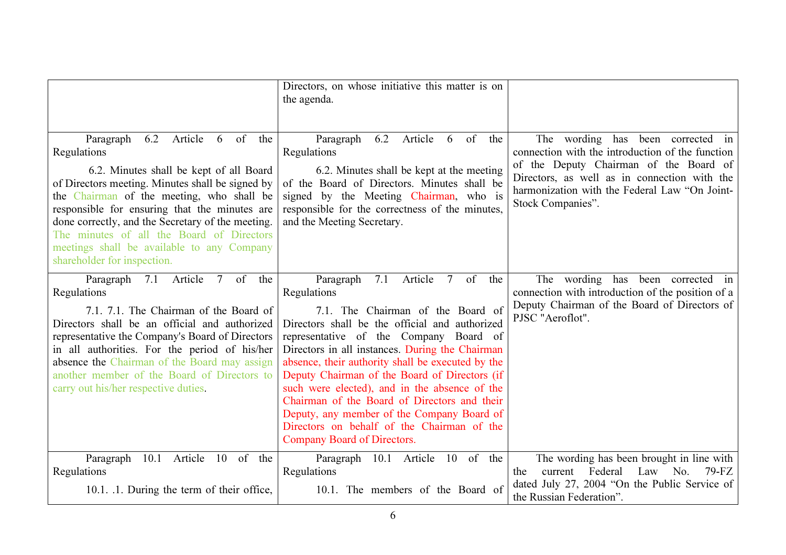|                                                                                                                                                                                                                                                                                                                                                                                                                                       | Directors, on whose initiative this matter is on<br>the agenda.                                                                                                                                                                                                                                                                                                                                                                                                                                                                                                              |                                                                                                                                                                                                                                                       |
|---------------------------------------------------------------------------------------------------------------------------------------------------------------------------------------------------------------------------------------------------------------------------------------------------------------------------------------------------------------------------------------------------------------------------------------|------------------------------------------------------------------------------------------------------------------------------------------------------------------------------------------------------------------------------------------------------------------------------------------------------------------------------------------------------------------------------------------------------------------------------------------------------------------------------------------------------------------------------------------------------------------------------|-------------------------------------------------------------------------------------------------------------------------------------------------------------------------------------------------------------------------------------------------------|
| Article<br>6 of<br>Paragraph<br>6.2<br>the<br>Regulations<br>6.2. Minutes shall be kept of all Board<br>of Directors meeting. Minutes shall be signed by<br>the Chairman of the meeting, who shall be<br>responsible for ensuring that the minutes are<br>done correctly, and the Secretary of the meeting.<br>The minutes of all the Board of Directors<br>meetings shall be available to any Company<br>shareholder for inspection. | Article<br>Paragraph<br>6.2<br>6<br>of<br>the<br>Regulations<br>6.2. Minutes shall be kept at the meeting<br>of the Board of Directors. Minutes shall be<br>signed by the Meeting Chairman, who is<br>responsible for the correctness of the minutes,<br>and the Meeting Secretary.                                                                                                                                                                                                                                                                                          | The wording has been corrected in<br>connection with the introduction of the function<br>of the Deputy Chairman of the Board of<br>Directors, as well as in connection with the<br>harmonization with the Federal Law "On Joint-<br>Stock Companies". |
| 7.1 Article 7 of<br>Paragraph<br>the<br>Regulations<br>7.1. 7.1. The Chairman of the Board of<br>Directors shall be an official and authorized<br>representative the Company's Board of Directors<br>in all authorities. For the period of his/her<br>absence the Chairman of the Board may assign<br>another member of the Board of Directors to<br>carry out his/her respective duties.                                             | Paragraph<br>7.1<br>Article<br>7 of the<br>Regulations<br>7.1. The Chairman of the Board of<br>Directors shall be the official and authorized<br>representative of the Company Board of<br>Directors in all instances. During the Chairman<br>absence, their authority shall be executed by the<br>Deputy Chairman of the Board of Directors (if<br>such were elected), and in the absence of the<br>Chairman of the Board of Directors and their<br>Deputy, any member of the Company Board of<br>Directors on behalf of the Chairman of the<br>Company Board of Directors. | The wording has been corrected in<br>connection with introduction of the position of a<br>Deputy Chairman of the Board of Directors of<br>PJSC "Aeroflot".                                                                                            |
| 10.1 Article 10 of the<br>Paragraph<br>Regulations<br>10.1. .1. During the term of their office,                                                                                                                                                                                                                                                                                                                                      | Paragraph 10.1 Article 10 of the<br>Regulations<br>10.1. The members of the Board of                                                                                                                                                                                                                                                                                                                                                                                                                                                                                         | The wording has been brought in line with<br>Federal<br>Law No.<br>current<br>$79-FZ$<br>the<br>dated July 27, 2004 "On the Public Service of<br>the Russian Federation".                                                                             |